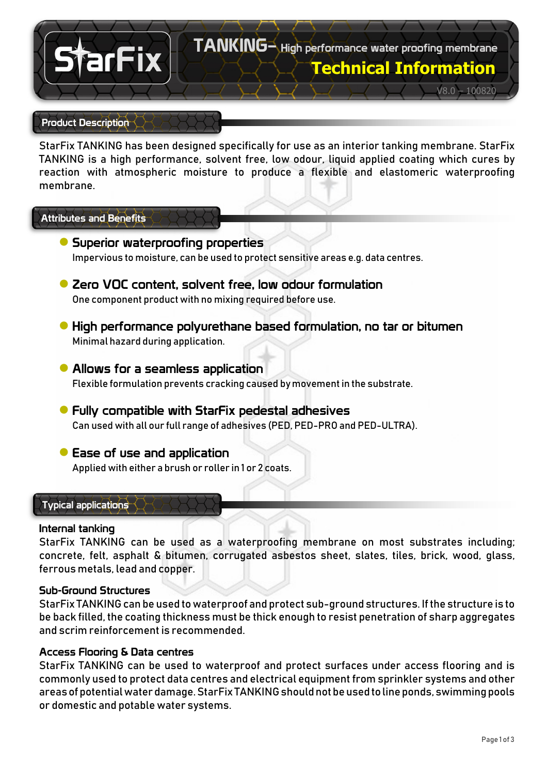

#### Product Description

StarFix TANKING has been designed specifically for use as an interior tanking membrane. StarFix TANKING is a high performance, solvent free, low odour, liquid applied coating which cures by reaction with atmospheric moisture to produce a flexible and elastomeric waterproofing membrane.

## Attributes and Benefits

- **●** Superior waterproofing properties Impervious to moisture, can be used to protect sensitive areas e.g. data centres.
- **●** Zero VOC content, solvent free, low odour formulation One component product with no mixing required before use.
- **●** High performance polyurethane based formulation, no tar or bitumen Minimal hazard during application.
- **●** Allows for a seamless application Flexible formulation prevents cracking caused by movement in the substrate.
- **●**Fully compatible with StarFix pedestal adhesives Can used with all our full range of adhesives (PED, PED-PRO and PED-ULTRA).
- **●**Ease of use and application Applied with either a brush or roller in 1 or 2 coats.

## Typical applications

#### Internal tanking

StarFix TANKING can be used as a waterproofing membrane on most substrates including; concrete, felt, asphalt & bitumen, corrugated asbestos sheet, slates, tiles, brick, wood, glass, ferrous metals, lead and copper.

## Sub-Ground Structures

StarFix TANKING can be used to waterproof and protect sub-ground structures. If the structure is to be back filled, the coating thickness must be thick enough to resist penetration of sharp aggregates and scrim reinforcement is recommended.

# Access Flooring & Data centres

StarFix TANKING can be used to waterproof and protect surfaces under access flooring and is commonly used to protect data centres and electrical equipment from sprinkler systems and other areas of potential water damage. StarFix TANKING should not be used to line ponds, swimming pools or domestic and potable water systems.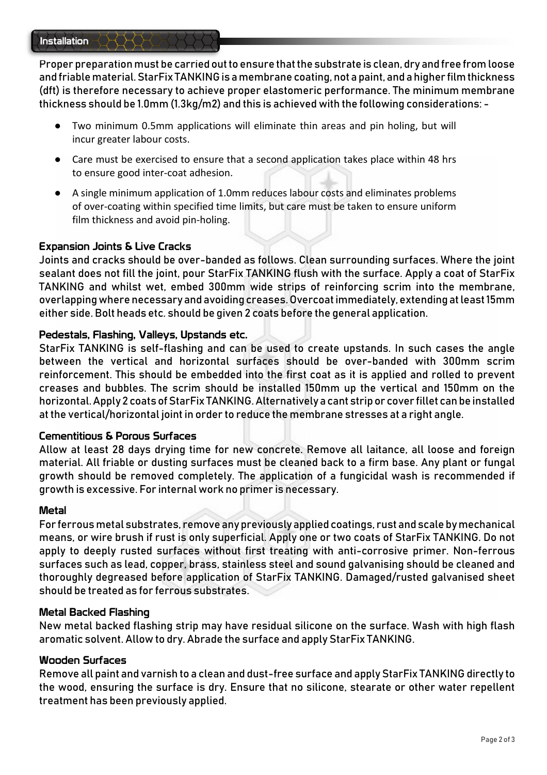Proper preparation must be carried out to ensure that the substrate is clean, dry and free from loose and friable material. StarFix TANKING is a membrane coating, not a paint, and a higher film thickness (dft) is therefore necessary to achieve proper elastomeric performance. The minimum membrane thickness should be 1.0mm (1.3kg/m2) and this is achieved with the following considerations: -

- Two minimum 0.5mm applications will eliminate thin areas and pin holing, but will incur greater labour costs.
- Care must be exercised to ensure that a second application takes place within 48 hrs to ensure good inter-coat adhesion.
- A single minimum application of 1.0mm reduces labour costs and eliminates problems of over-coating within specified time limits, but care must be taken to ensure uniform film thickness and avoid pin-holing.

# Expansion Joints & Live Cracks

Joints and cracks should be over-banded as follows. Clean surrounding surfaces. Where the joint sealant does not fill the joint, pour StarFix TANKING flush with the surface. Apply a coat of StarFix TANKING and whilst wet, embed 300mm wide strips of reinforcing scrim into the membrane, overlapping where necessary and avoiding creases. Overcoat immediately, extending at least 15mm either side. Bolt heads etc. should be given 2 coats before the general application.

# Pedestals, Flashing, Valleys, Upstands etc.

StarFix TANKING is self-flashing and can be used to create upstands. In such cases the angle between the vertical and horizontal surfaces should be over-banded with 300mm scrim reinforcement. This should be embedded into the first coat as it is applied and rolled to prevent creases and bubbles. The scrim should be installed 150mm up the vertical and 150mm on the horizontal. Apply 2 coats of StarFix TANKING. Alternatively a cant strip or cover fillet can be installed at the vertical/horizontal joint in order to reduce the membrane stresses at a right angle.

## Cementitious & Porous Surfaces

Allow at least 28 days drying time for new concrete. Remove all laitance, all loose and foreign material. All friable or dusting surfaces must be cleaned back to a firm base. Any plant or fungal growth should be removed completely. The application of a fungicidal wash is recommended if growth is excessive. For internal work no primer is necessary.

## Metal

For ferrous metal substrates, remove any previously applied coatings, rust and scale by mechanical means, or wire brush if rust is only superficial. Apply one or two coats of StarFix TANKING. Do not apply to deeply rusted surfaces without first treating with anti-corrosive primer. Non-ferrous surfaces such as lead, copper, brass, stainless steel and sound galvanising should be cleaned and thoroughly degreased before application of StarFix TANKING. Damaged/rusted galvanised sheet should be treated as for ferrous substrates.

## Metal Backed Flashing

New metal backed flashing strip may have residual silicone on the surface. Wash with high flash aromatic solvent. Allow to dry. Abrade the surface and apply StarFix TANKING.

## Wooden Surfaces

Remove all paint and varnish to a clean and dust-free surface and apply StarFix TANKING directly to the wood, ensuring the surface is dry. Ensure that no silicone, stearate or other water repellent treatment has been previously applied.